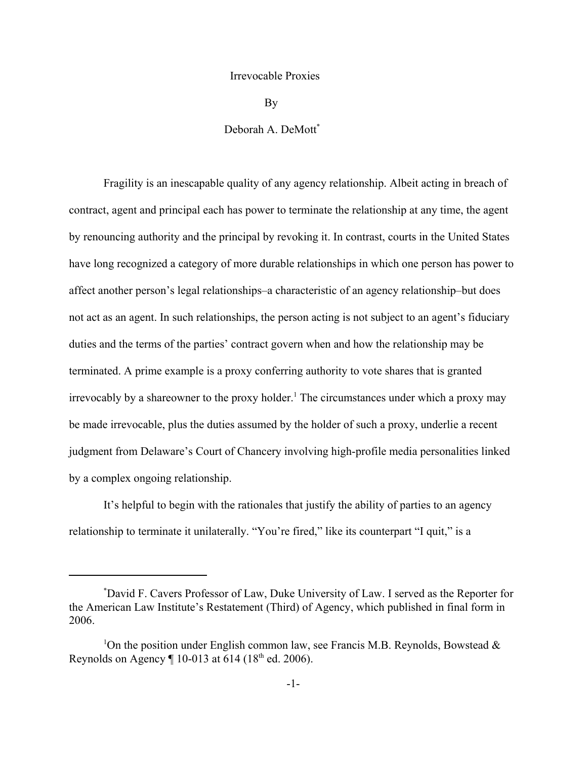## Irrevocable Proxies

By

## Deborah A. DeMott<sup>\*</sup>

Fragility is an inescapable quality of any agency relationship. Albeit acting in breach of contract, agent and principal each has power to terminate the relationship at any time, the agent by renouncing authority and the principal by revoking it. In contrast, courts in the United States have long recognized a category of more durable relationships in which one person has power to affect another person's legal relationships–a characteristic of an agency relationship–but does not act as an agent. In such relationships, the person acting is not subject to an agent's fiduciary duties and the terms of the parties' contract govern when and how the relationship may be terminated. A prime example is a proxy conferring authority to vote shares that is granted irrevocably by a shareowner to the proxy holder.<sup>1</sup> The circumstances under which a proxy may be made irrevocable, plus the duties assumed by the holder of such a proxy, underlie a recent judgment from Delaware's Court of Chancery involving high-profile media personalities linked by a complex ongoing relationship.

It's helpful to begin with the rationales that justify the ability of parties to an agency relationship to terminate it unilaterally. "You're fired," like its counterpart "I quit," is a

<sup>\*</sup> David F. Cavers Professor of Law, Duke University of Law. I served as the Reporter for the American Law Institute's Restatement (Third) of Agency, which published in final form in 2006.

<sup>&</sup>lt;sup>1</sup>On the position under English common law, see Francis M.B. Reynolds, Bowstead & Reynolds on Agency  $\P$  10-013 at 614 (18<sup>th</sup> ed. 2006).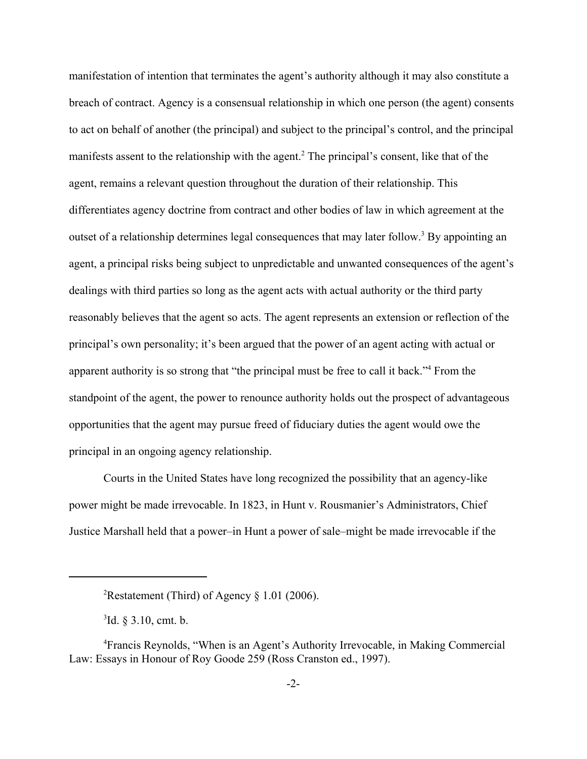manifestation of intention that terminates the agent's authority although it may also constitute a breach of contract. Agency is a consensual relationship in which one person (the agent) consents to act on behalf of another (the principal) and subject to the principal's control, and the principal manifests assent to the relationship with the agent.<sup>2</sup> The principal's consent, like that of the agent, remains a relevant question throughout the duration of their relationship. This differentiates agency doctrine from contract and other bodies of law in which agreement at the outset of a relationship determines legal consequences that may later follow.<sup>3</sup> By appointing an agent, a principal risks being subject to unpredictable and unwanted consequences of the agent's dealings with third parties so long as the agent acts with actual authority or the third party reasonably believes that the agent so acts. The agent represents an extension or reflection of the principal's own personality; it's been argued that the power of an agent acting with actual or apparent authority is so strong that "the principal must be free to call it back."<sup>4</sup> From the standpoint of the agent, the power to renounce authority holds out the prospect of advantageous opportunities that the agent may pursue freed of fiduciary duties the agent would owe the principal in an ongoing agency relationship.

Courts in the United States have long recognized the possibility that an agency-like power might be made irrevocable. In 1823, in Hunt v. Rousmanier's Administrators, Chief Justice Marshall held that a power–in Hunt a power of sale–might be made irrevocable if the

<sup>&</sup>lt;sup>2</sup>Restatement (Third) of Agency § 1.01 (2006).

 ${}^{3}$ Id. § 3.10, cmt. b.

<sup>4</sup> Francis Reynolds, "When is an Agent's Authority Irrevocable, in Making Commercial Law: Essays in Honour of Roy Goode 259 (Ross Cranston ed., 1997).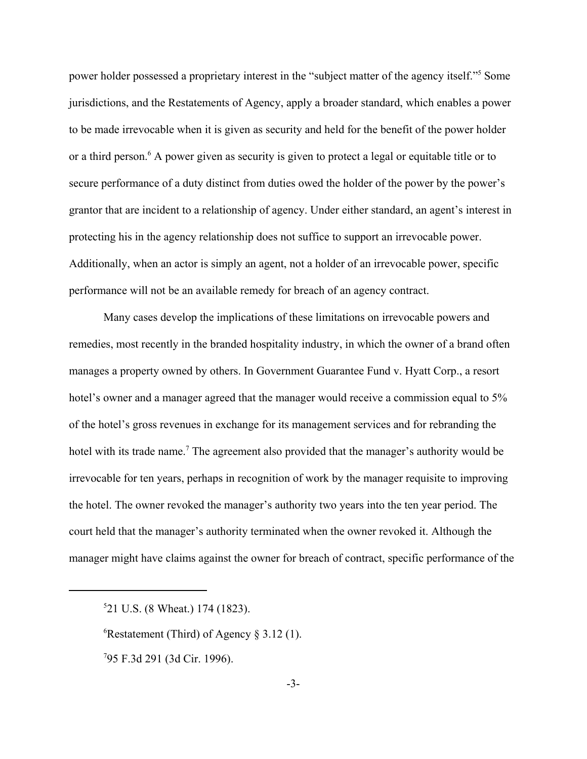power holder possessed a proprietary interest in the "subject matter of the agency itself."<sup>5</sup> Some jurisdictions, and the Restatements of Agency, apply a broader standard, which enables a power to be made irrevocable when it is given as security and held for the benefit of the power holder or a third person.<sup>6</sup> A power given as security is given to protect a legal or equitable title or to secure performance of a duty distinct from duties owed the holder of the power by the power's grantor that are incident to a relationship of agency. Under either standard, an agent's interest in protecting his in the agency relationship does not suffice to support an irrevocable power. Additionally, when an actor is simply an agent, not a holder of an irrevocable power, specific performance will not be an available remedy for breach of an agency contract.

Many cases develop the implications of these limitations on irrevocable powers and remedies, most recently in the branded hospitality industry, in which the owner of a brand often manages a property owned by others. In Government Guarantee Fund v. Hyatt Corp., a resort hotel's owner and a manager agreed that the manager would receive a commission equal to 5% of the hotel's gross revenues in exchange for its management services and for rebranding the hotel with its trade name.<sup>7</sup> The agreement also provided that the manager's authority would be irrevocable for ten years, perhaps in recognition of work by the manager requisite to improving the hotel. The owner revoked the manager's authority two years into the ten year period. The court held that the manager's authority terminated when the owner revoked it. Although the manager might have claims against the owner for breach of contract, specific performance of the

<sup>6</sup>Restatement (Third) of Agency  $\S 3.12$  (1).

7 95 F.3d 291 (3d Cir. 1996).

<sup>5</sup> 21 U.S. (8 Wheat.) 174 (1823).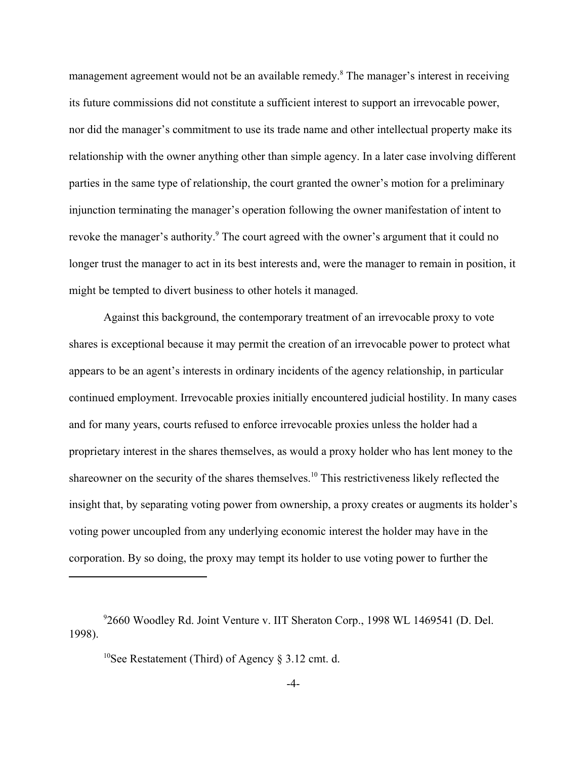management agreement would not be an available remedy.<sup>8</sup> The manager's interest in receiving its future commissions did not constitute a sufficient interest to support an irrevocable power, nor did the manager's commitment to use its trade name and other intellectual property make its relationship with the owner anything other than simple agency. In a later case involving different parties in the same type of relationship, the court granted the owner's motion for a preliminary injunction terminating the manager's operation following the owner manifestation of intent to revoke the manager's authority.<sup>9</sup> The court agreed with the owner's argument that it could no longer trust the manager to act in its best interests and, were the manager to remain in position, it might be tempted to divert business to other hotels it managed.

Against this background, the contemporary treatment of an irrevocable proxy to vote shares is exceptional because it may permit the creation of an irrevocable power to protect what appears to be an agent's interests in ordinary incidents of the agency relationship, in particular continued employment. Irrevocable proxies initially encountered judicial hostility. In many cases and for many years, courts refused to enforce irrevocable proxies unless the holder had a proprietary interest in the shares themselves, as would a proxy holder who has lent money to the shareowner on the security of the shares themselves.10 This restrictiveness likely reflected the insight that, by separating voting power from ownership, a proxy creates or augments its holder's voting power uncoupled from any underlying economic interest the holder may have in the corporation. By so doing, the proxy may tempt its holder to use voting power to further the

<sup>10</sup>See Restatement (Third) of Agency  $\S 3.12$  cmt. d.

<sup>9</sup> 2660 Woodley Rd. Joint Venture v. IIT Sheraton Corp., 1998 WL 1469541 (D. Del. 1998).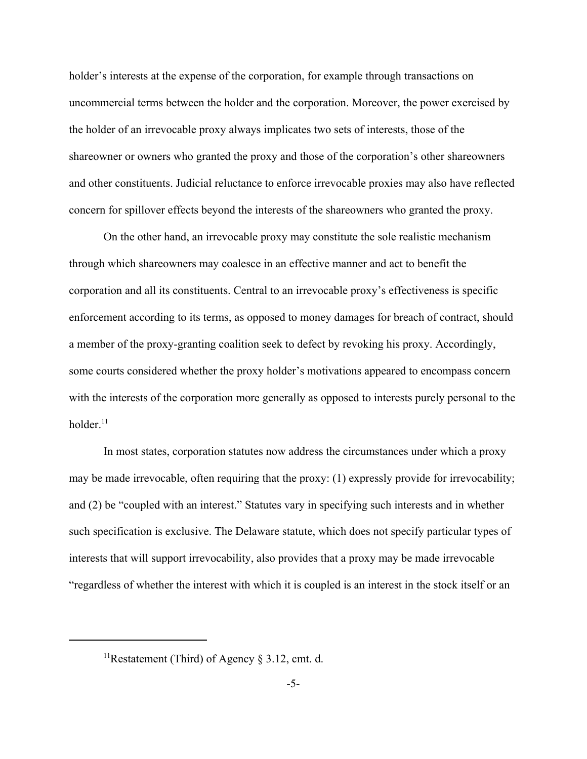holder's interests at the expense of the corporation, for example through transactions on uncommercial terms between the holder and the corporation. Moreover, the power exercised by the holder of an irrevocable proxy always implicates two sets of interests, those of the shareowner or owners who granted the proxy and those of the corporation's other shareowners and other constituents. Judicial reluctance to enforce irrevocable proxies may also have reflected concern for spillover effects beyond the interests of the shareowners who granted the proxy.

On the other hand, an irrevocable proxy may constitute the sole realistic mechanism through which shareowners may coalesce in an effective manner and act to benefit the corporation and all its constituents. Central to an irrevocable proxy's effectiveness is specific enforcement according to its terms, as opposed to money damages for breach of contract, should a member of the proxy-granting coalition seek to defect by revoking his proxy. Accordingly, some courts considered whether the proxy holder's motivations appeared to encompass concern with the interests of the corporation more generally as opposed to interests purely personal to the holder. $11$ 

In most states, corporation statutes now address the circumstances under which a proxy may be made irrevocable, often requiring that the proxy: (1) expressly provide for irrevocability; and (2) be "coupled with an interest." Statutes vary in specifying such interests and in whether such specification is exclusive. The Delaware statute, which does not specify particular types of interests that will support irrevocability, also provides that a proxy may be made irrevocable "regardless of whether the interest with which it is coupled is an interest in the stock itself or an

<sup>&</sup>lt;sup>11</sup>Restatement (Third) of Agency § 3.12, cmt. d.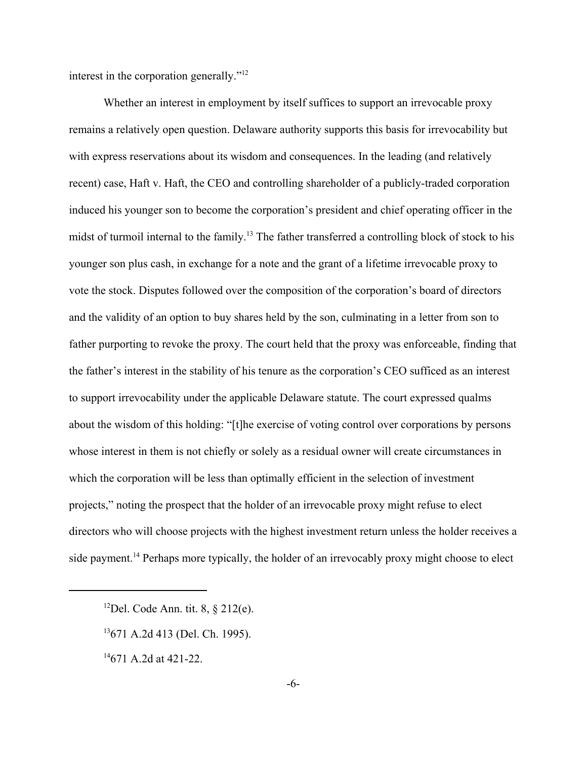interest in the corporation generally."12

Whether an interest in employment by itself suffices to support an irrevocable proxy remains a relatively open question. Delaware authority supports this basis for irrevocability but with express reservations about its wisdom and consequences. In the leading (and relatively recent) case, Haft v. Haft, the CEO and controlling shareholder of a publicly-traded corporation induced his younger son to become the corporation's president and chief operating officer in the midst of turmoil internal to the family.13 The father transferred a controlling block of stock to his younger son plus cash, in exchange for a note and the grant of a lifetime irrevocable proxy to vote the stock. Disputes followed over the composition of the corporation's board of directors and the validity of an option to buy shares held by the son, culminating in a letter from son to father purporting to revoke the proxy. The court held that the proxy was enforceable, finding that the father's interest in the stability of his tenure as the corporation's CEO sufficed as an interest to support irrevocability under the applicable Delaware statute. The court expressed qualms about the wisdom of this holding: "[t]he exercise of voting control over corporations by persons whose interest in them is not chiefly or solely as a residual owner will create circumstances in which the corporation will be less than optimally efficient in the selection of investment projects," noting the prospect that the holder of an irrevocable proxy might refuse to elect directors who will choose projects with the highest investment return unless the holder receives a side payment.<sup>14</sup> Perhaps more typically, the holder of an irrevocably proxy might choose to elect

- <sup>12</sup>Del. Code Ann. tit. 8,  $\frac{12}{2}$ le.
- 13671 A.2d 413 (Del. Ch. 1995).
- $14671$  A.2d at 421-22.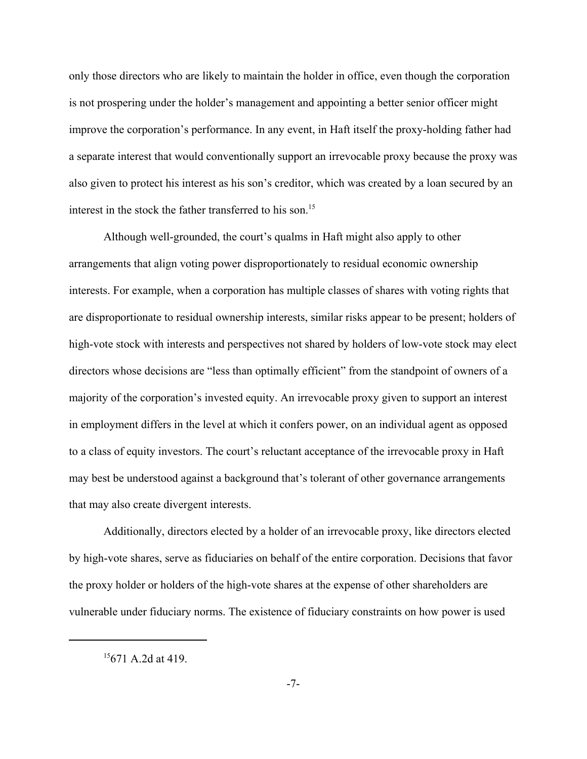only those directors who are likely to maintain the holder in office, even though the corporation is not prospering under the holder's management and appointing a better senior officer might improve the corporation's performance. In any event, in Haft itself the proxy-holding father had a separate interest that would conventionally support an irrevocable proxy because the proxy was also given to protect his interest as his son's creditor, which was created by a loan secured by an interest in the stock the father transferred to his son.<sup>15</sup>

Although well-grounded, the court's qualms in Haft might also apply to other arrangements that align voting power disproportionately to residual economic ownership interests. For example, when a corporation has multiple classes of shares with voting rights that are disproportionate to residual ownership interests, similar risks appear to be present; holders of high-vote stock with interests and perspectives not shared by holders of low-vote stock may elect directors whose decisions are "less than optimally efficient" from the standpoint of owners of a majority of the corporation's invested equity. An irrevocable proxy given to support an interest in employment differs in the level at which it confers power, on an individual agent as opposed to a class of equity investors. The court's reluctant acceptance of the irrevocable proxy in Haft may best be understood against a background that's tolerant of other governance arrangements that may also create divergent interests.

Additionally, directors elected by a holder of an irrevocable proxy, like directors elected by high-vote shares, serve as fiduciaries on behalf of the entire corporation. Decisions that favor the proxy holder or holders of the high-vote shares at the expense of other shareholders are vulnerable under fiduciary norms. The existence of fiduciary constraints on how power is used

 $15671$  A.2d at 419.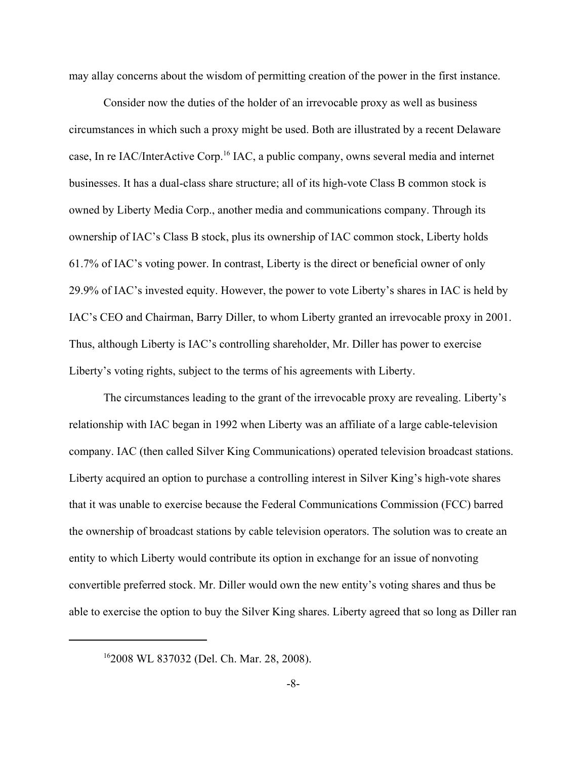may allay concerns about the wisdom of permitting creation of the power in the first instance.

Consider now the duties of the holder of an irrevocable proxy as well as business circumstances in which such a proxy might be used. Both are illustrated by a recent Delaware case, In re IAC/InterActive Corp.16 IAC, a public company, owns several media and internet businesses. It has a dual-class share structure; all of its high-vote Class B common stock is owned by Liberty Media Corp., another media and communications company. Through its ownership of IAC's Class B stock, plus its ownership of IAC common stock, Liberty holds 61.7% of IAC's voting power. In contrast, Liberty is the direct or beneficial owner of only 29.9% of IAC's invested equity. However, the power to vote Liberty's shares in IAC is held by IAC's CEO and Chairman, Barry Diller, to whom Liberty granted an irrevocable proxy in 2001. Thus, although Liberty is IAC's controlling shareholder, Mr. Diller has power to exercise Liberty's voting rights, subject to the terms of his agreements with Liberty.

The circumstances leading to the grant of the irrevocable proxy are revealing. Liberty's relationship with IAC began in 1992 when Liberty was an affiliate of a large cable-television company. IAC (then called Silver King Communications) operated television broadcast stations. Liberty acquired an option to purchase a controlling interest in Silver King's high-vote shares that it was unable to exercise because the Federal Communications Commission (FCC) barred the ownership of broadcast stations by cable television operators. The solution was to create an entity to which Liberty would contribute its option in exchange for an issue of nonvoting convertible preferred stock. Mr. Diller would own the new entity's voting shares and thus be able to exercise the option to buy the Silver King shares. Liberty agreed that so long as Diller ran

<sup>162008</sup> WL 837032 (Del. Ch. Mar. 28, 2008).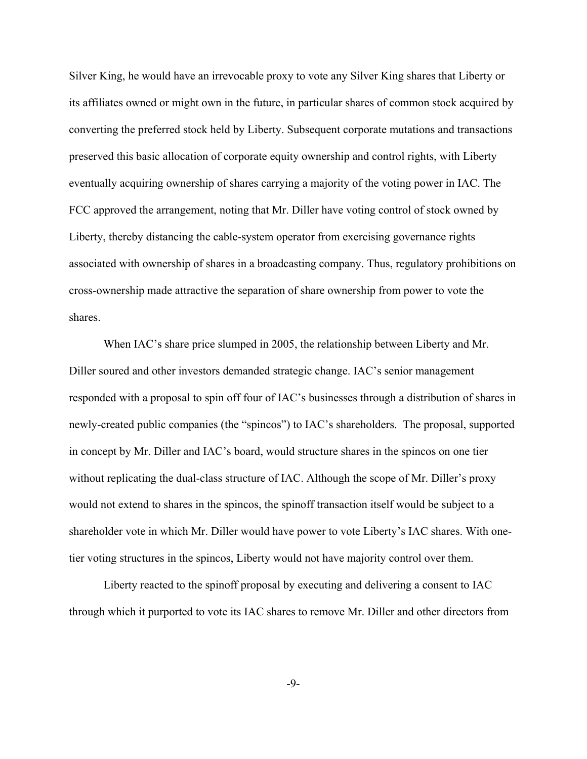Silver King, he would have an irrevocable proxy to vote any Silver King shares that Liberty or its affiliates owned or might own in the future, in particular shares of common stock acquired by converting the preferred stock held by Liberty. Subsequent corporate mutations and transactions preserved this basic allocation of corporate equity ownership and control rights, with Liberty eventually acquiring ownership of shares carrying a majority of the voting power in IAC. The FCC approved the arrangement, noting that Mr. Diller have voting control of stock owned by Liberty, thereby distancing the cable-system operator from exercising governance rights associated with ownership of shares in a broadcasting company. Thus, regulatory prohibitions on cross-ownership made attractive the separation of share ownership from power to vote the shares.

When IAC's share price slumped in 2005, the relationship between Liberty and Mr. Diller soured and other investors demanded strategic change. IAC's senior management responded with a proposal to spin off four of IAC's businesses through a distribution of shares in newly-created public companies (the "spincos") to IAC's shareholders. The proposal, supported in concept by Mr. Diller and IAC's board, would structure shares in the spincos on one tier without replicating the dual-class structure of IAC. Although the scope of Mr. Diller's proxy would not extend to shares in the spincos, the spinoff transaction itself would be subject to a shareholder vote in which Mr. Diller would have power to vote Liberty's IAC shares. With onetier voting structures in the spincos, Liberty would not have majority control over them.

Liberty reacted to the spinoff proposal by executing and delivering a consent to IAC through which it purported to vote its IAC shares to remove Mr. Diller and other directors from

-9-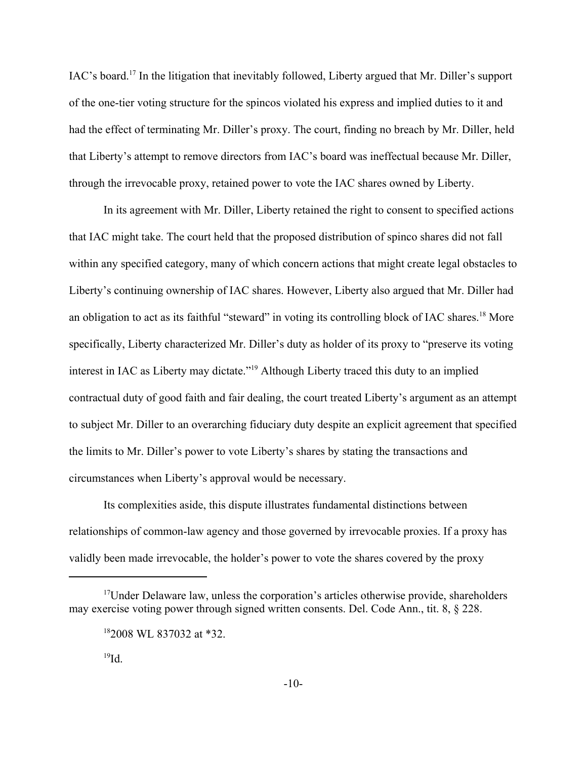IAC's board.17 In the litigation that inevitably followed, Liberty argued that Mr. Diller's support of the one-tier voting structure for the spincos violated his express and implied duties to it and had the effect of terminating Mr. Diller's proxy. The court, finding no breach by Mr. Diller, held that Liberty's attempt to remove directors from IAC's board was ineffectual because Mr. Diller, through the irrevocable proxy, retained power to vote the IAC shares owned by Liberty.

In its agreement with Mr. Diller, Liberty retained the right to consent to specified actions that IAC might take. The court held that the proposed distribution of spinco shares did not fall within any specified category, many of which concern actions that might create legal obstacles to Liberty's continuing ownership of IAC shares. However, Liberty also argued that Mr. Diller had an obligation to act as its faithful "steward" in voting its controlling block of IAC shares.<sup>18</sup> More specifically, Liberty characterized Mr. Diller's duty as holder of its proxy to "preserve its voting interest in IAC as Liberty may dictate."19 Although Liberty traced this duty to an implied contractual duty of good faith and fair dealing, the court treated Liberty's argument as an attempt to subject Mr. Diller to an overarching fiduciary duty despite an explicit agreement that specified the limits to Mr. Diller's power to vote Liberty's shares by stating the transactions and circumstances when Liberty's approval would be necessary.

 Its complexities aside, this dispute illustrates fundamental distinctions between relationships of common-law agency and those governed by irrevocable proxies. If a proxy has validly been made irrevocable, the holder's power to vote the shares covered by the proxy

<sup>&</sup>lt;sup>17</sup>Under Delaware law, unless the corporation's articles otherwise provide, shareholders may exercise voting power through signed written consents. Del. Code Ann., tit. 8, § 228.

<sup>182008</sup> WL 837032 at \*32.

 $^{19}$ Id.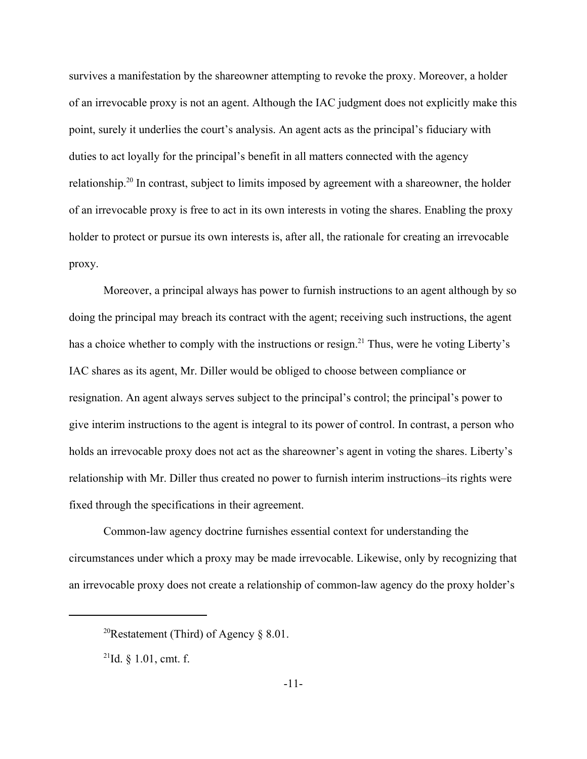survives a manifestation by the shareowner attempting to revoke the proxy. Moreover, a holder of an irrevocable proxy is not an agent. Although the IAC judgment does not explicitly make this point, surely it underlies the court's analysis. An agent acts as the principal's fiduciary with duties to act loyally for the principal's benefit in all matters connected with the agency relationship.20 In contrast, subject to limits imposed by agreement with a shareowner, the holder of an irrevocable proxy is free to act in its own interests in voting the shares. Enabling the proxy holder to protect or pursue its own interests is, after all, the rationale for creating an irrevocable proxy.

 Moreover, a principal always has power to furnish instructions to an agent although by so doing the principal may breach its contract with the agent; receiving such instructions, the agent has a choice whether to comply with the instructions or resign.<sup>21</sup> Thus, were he voting Liberty's IAC shares as its agent, Mr. Diller would be obliged to choose between compliance or resignation. An agent always serves subject to the principal's control; the principal's power to give interim instructions to the agent is integral to its power of control. In contrast, a person who holds an irrevocable proxy does not act as the shareowner's agent in voting the shares. Liberty's relationship with Mr. Diller thus created no power to furnish interim instructions–its rights were fixed through the specifications in their agreement.

Common-law agency doctrine furnishes essential context for understanding the circumstances under which a proxy may be made irrevocable. Likewise, only by recognizing that an irrevocable proxy does not create a relationship of common-law agency do the proxy holder's

<sup>&</sup>lt;sup>20</sup>Restatement (Third) of Agency  $\S$  8.01.

<sup>&</sup>lt;sup>21</sup>Id. § 1.01, cmt. f.